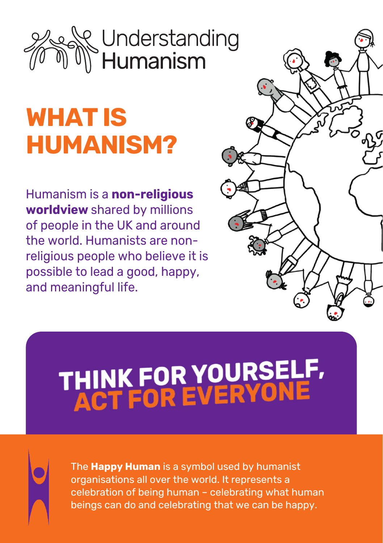## Understanding<br>Humanism

## **WHAT IS HUMANISM?**

Humanism is a **non-religious worldview** shared by millions of people in the UK and around the world. Humanists are nonreligious people who believe it is possible to lead a good, happy, and meaningful life.



# THINK FOR YOURSELF,<br>ACT FOR EVERYONE

The **Happy Human** is a symbol used by humanist organisations all over the world. It represents a celebration of being human – celebrating what human beings can do and celebrating that we can be happy.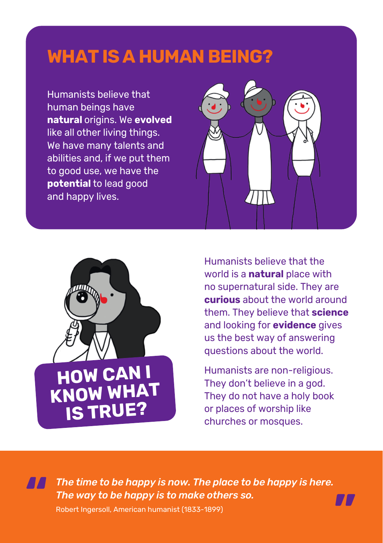## **WHAT IS A HUMAN BEING?**

Humanists believe that human beings have **natural** origins. We **evolved** like all other living things. We have many talents and abilities and, if we put them to good use, we have the **potential** to lead good and happy lives.





Humanists believe that the world is a **natural** place with no supernatural side. They are **curious** about the world around them. They believe that **science** and looking for **evidence** gives us the best way of answering questions about the world.

Humanists are non-religious. They don't believe in a god. They do not have a holy book or places of worship like churches or mosques.

**"**

*The time to be happy is now. The place to be happy is here. The way to be happy is to make others so.* **"**

Robert Ingersoll, American humanist (1833-1899)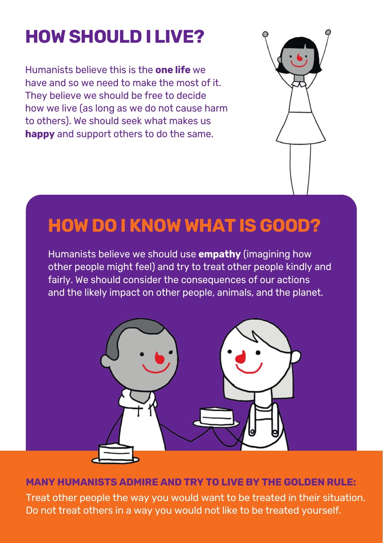## **HOW SHOULD I LIVE?**

Humanists believe this is the **one life** we have and so we need to make the most of it. They believe we should be free to decide how we live (as long as we do not cause harm to others). We should seek what makes us **happy** and support others to do the same.



## **HOW DO I KNOW WHAT IS GOOD?**

Humanists believe we should use **empathy** (imagining how other people might feel) and try to treat other people kindly and fairly. We should consider the consequences of our actions and the likely impact on other people, animals, and the planet.



### **MANY HUMANISTS ADMIRE AND TRY TO LIVE BY THE GOLDEN RULE:**

Treat other people the way you would want to be treated in their situation. Do not treat others in a way you would not like to be treated yourself.